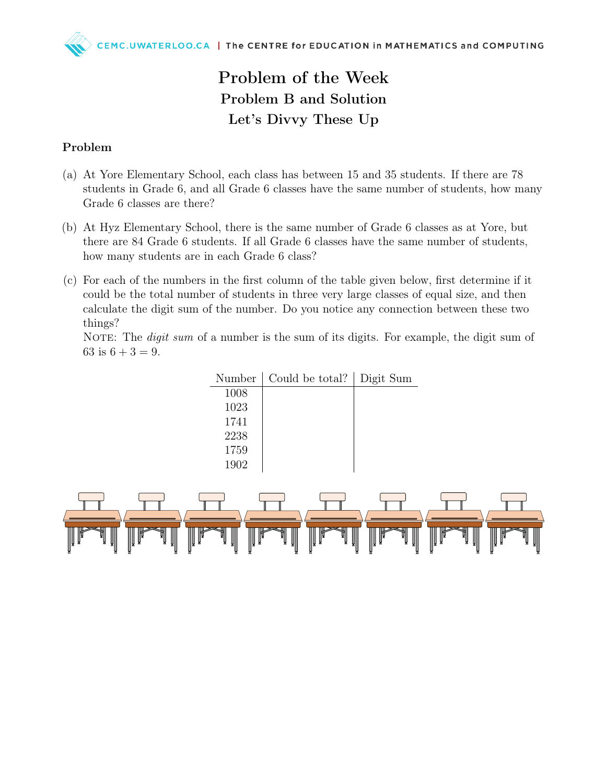## Problem of the Week Problem B and Solution Let's Divvy These Up

## Problem

- (a) At Yore Elementary School, each class has between 15 and 35 students. If there are 78 students in Grade 6, and all Grade 6 classes have the same number of students, how many Grade 6 classes are there?
- (b) At Hyz Elementary School, there is the same number of Grade 6 classes as at Yore, but there are 84 Grade 6 students. If all Grade 6 classes have the same number of students, how many students are in each Grade 6 class?
- (c) For each of the numbers in the first column of the table given below, first determine if it could be the total number of students in three very large classes of equal size, and then calculate the digit sum of the number. Do you notice any connection between these two things?

NOTE: The *digit sum* of a number is the sum of its digits. For example, the digit sum of 63 is  $6 + 3 = 9$ .